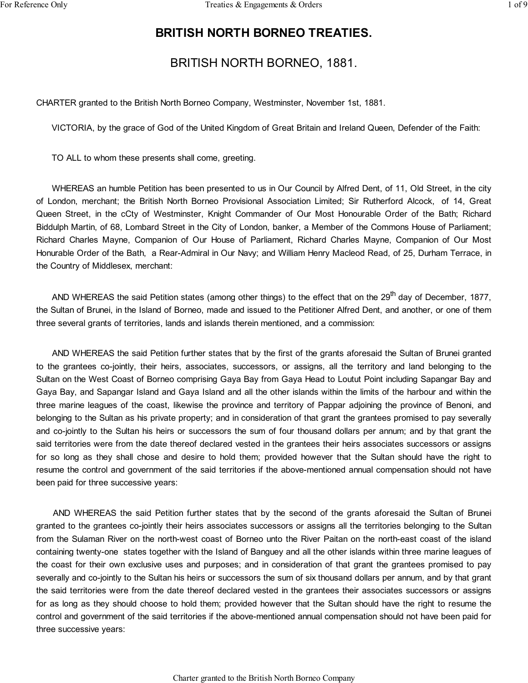# **BRITISH NORTH BORNEO TREATIES.**

# BRITISH NORTH BORNEO, 1881.

CHARTER granted to the British North Borneo Company, Westminster, November 1st, 1881.

VICTORIA, by the grace of God of the United Kingdom of Great Britain and Ireland Queen, Defender of the Faith:

TO ALL to whom these presents shall come, greeting.

 WHEREAS an humble Petition has been presented to us in Our Council by Alfred Dent, of 11, Old Street, in the city of London, merchant; the British North Borneo Provisional Association Limited; Sir Rutherford Alcock, of 14, Great Queen Street, in the cCty of Westminster, Knight Commander of Our Most Honourable Order of the Bath; Richard Biddulph Martin, of 68, Lombard Street in the City of London, banker, a Member of the Commons House of Parliament; Richard Charles Mayne, Companion of Our House of Parliament, Richard Charles Mayne, Companion of Our Most Honurable Order of the Bath, a Rear-Admiral in Our Navy; and William Henry Macleod Read, of 25, Durham Terrace, in the Country of Middlesex, merchant:

AND WHEREAS the said Petition states (among other things) to the effect that on the 29<sup>th</sup> day of December, 1877, the Sultan of Brunei, in the Island of Borneo, made and issued to the Petitioner Alfred Dent, and another, or one of them three several grants of territories, lands and islands therein mentioned, and a commission:

 AND WHEREAS the said Petition further states that by the first of the grants aforesaid the Sultan of Brunei granted to the grantees co-jointly, their heirs, associates, successors, or assigns, all the territory and land belonging to the Sultan on the West Coast of Borneo comprising Gaya Bay from Gaya Head to Loutut Point including Sapangar Bay and Gaya Bay, and Sapangar Island and Gaya Island and all the other islands within the limits of the harbour and within the three marine leagues of the coast, likewise the province and territory of Pappar adjoining the province of Benoni, and belonging to the Sultan as his private property; and in consideration of that grant the grantees promised to pay severally and co-jointly to the Sultan his heirs or successors the sum of four thousand dollars per annum; and by that grant the said territories were from the date thereof declared vested in the grantees their heirs associates successors or assigns for so long as they shall chose and desire to hold them; provided however that the Sultan should have the right to resume the control and government of the said territories if the above-mentioned annual compensation should not have been paid for three successive years:

 AND WHEREAS the said Petition further states that by the second of the grants aforesaid the Sultan of Brunei granted to the grantees co-jointly their heirs associates successors or assigns all the territories belonging to the Sultan from the Sulaman River on the north-west coast of Borneo unto the River Paitan on the north-east coast of the island containing twenty-one states together with the Island of Banguey and all the other islands within three marine leagues of the coast for their own exclusive uses and purposes; and in consideration of that grant the grantees promised to pay severally and co-jointly to the Sultan his heirs or successors the sum of six thousand dollars per annum, and by that grant the said territories were from the date thereof declared vested in the grantees their associates successors or assigns for as long as they should choose to hold them; provided however that the Sultan should have the right to resume the control and government of the said territories if the above-mentioned annual compensation should not have been paid for three successive years: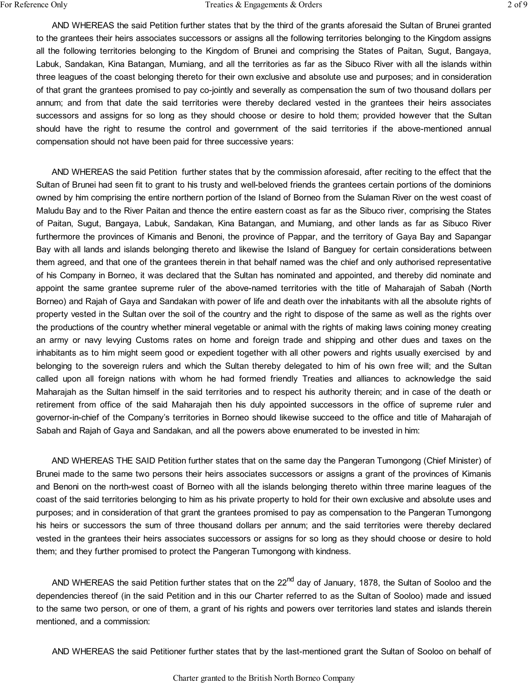AND WHEREAS the said Petition further states that by the third of the grants aforesaid the Sultan of Brunei granted to the grantees their heirs associates successors or assigns all the following territories belonging to the Kingdom assigns all the following territories belonging to the Kingdom of Brunei and comprising the States of Paitan, Sugut, Bangaya, Labuk, Sandakan, Kina Batangan, Mumiang, and all the territories as far as the Sibuco River with all the islands within three leagues of the coast belonging thereto for their own exclusive and absolute use and purposes; and in consideration of that grant the grantees promised to pay co-jointly and severally as compensation the sum of two thousand dollars per annum; and from that date the said territories were thereby declared vested in the grantees their heirs associates successors and assigns for so long as they should choose or desire to hold them; provided however that the Sultan should have the right to resume the control and government of the said territories if the above-mentioned annual compensation should not have been paid for three successive years:

 AND WHEREAS the said Petition further states that by the commission aforesaid, after reciting to the effect that the Sultan of Brunei had seen fit to grant to his trusty and well-beloved friends the grantees certain portions of the dominions owned by him comprising the entire northern portion of the Island of Borneo from the Sulaman River on the west coast of Maludu Bay and to the River Paitan and thence the entire eastern coast as far as the Sibuco river, comprising the States of Paitan, Sugut, Bangaya, Labuk, Sandakan, Kina Batangan, and Mumiang, and other lands as far as Sibuco River furthermore the provinces of Kimanis and Benoni, the province of Pappar, and the territory of Gaya Bay and Sapangar Bay with all lands and islands belonging thereto and likewise the Island of Banguey for certain considerations between them agreed, and that one of the grantees therein in that behalf named was the chief and only authorised representative of his Company in Borneo, it was declared that the Sultan has nominated and appointed, and thereby did nominate and appoint the same grantee supreme ruler of the above-named territories with the title of Maharajah of Sabah (North Borneo) and Rajah of Gaya and Sandakan with power of life and death over the inhabitants with all the absolute rights of property vested in the Sultan over the soil of the country and the right to dispose of the same as well as the rights over the productions of the country whether mineral vegetable or animal with the rights of making laws coining money creating an army or navy levying Customs rates on home and foreign trade and shipping and other dues and taxes on the inhabitants as to him might seem good or expedient together with all other powers and rights usually exercised by and belonging to the sovereign rulers and which the Sultan thereby delegated to him of his own free will; and the Sultan called upon all foreign nations with whom he had formed friendly Treaties and alliances to acknowledge the said Maharajah as the Sultan himself in the said territories and to respect his authority therein; and in case of the death or retirement from office of the said Maharajah then his duly appointed successors in the office of supreme ruler and governor-in-chief of the Company's territories in Borneo should likewise succeed to the office and title of Maharajah of Sabah and Rajah of Gaya and Sandakan, and all the powers above enumerated to be invested in him:

 AND WHEREAS THE SAID Petition further states that on the same day the Pangeran Tumongong (Chief Minister) of Brunei made to the same two persons their heirs associates successors or assigns a grant of the provinces of Kimanis and Benoni on the north-west coast of Borneo with all the islands belonging thereto within three marine leagues of the coast of the said territories belonging to him as his private property to hold for their own exclusive and absolute uses and purposes; and in consideration of that grant the grantees promised to pay as compensation to the Pangeran Tumongong his heirs or successors the sum of three thousand dollars per annum; and the said territories were thereby declared vested in the grantees their heirs associates successors or assigns for so long as they should choose or desire to hold them; and they further promised to protect the Pangeran Tumongong with kindness.

AND WHEREAS the said Petition further states that on the 22<sup>nd</sup> day of January, 1878, the Sultan of Sooloo and the dependencies thereof (in the said Petition and in this our Charter referred to as the Sultan of Sooloo) made and issued to the same two person, or one of them, a grant of his rights and powers over territories land states and islands therein mentioned, and a commission:

AND WHEREAS the said Petitioner further states that by the last-mentioned grant the Sultan of Sooloo on behalf of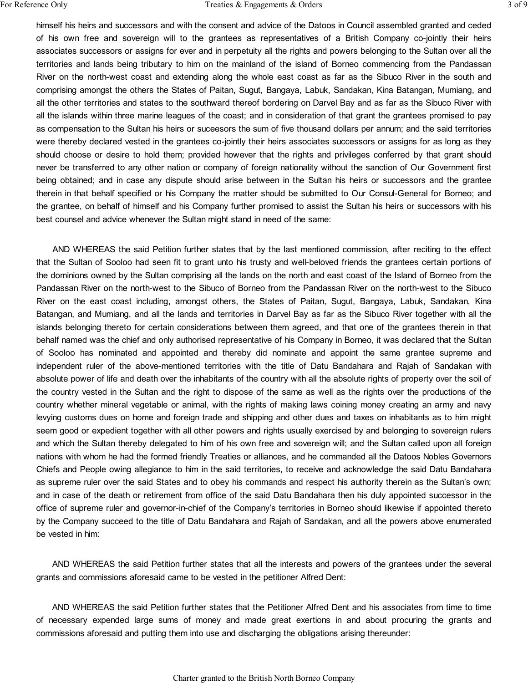himself his heirs and successors and with the consent and advice of the Datoos in Council assembled granted and ceded of his own free and sovereign will to the grantees as representatives of a British Company co-jointly their heirs associates successors or assigns for ever and in perpetuity all the rights and powers belonging to the Sultan over all the territories and lands being tributary to him on the mainland of the island of Borneo commencing from the Pandassan River on the north-west coast and extending along the whole east coast as far as the Sibuco River in the south and comprising amongst the others the States of Paitan, Sugut, Bangaya, Labuk, Sandakan, Kina Batangan, Mumiang, and all the other territories and states to the southward thereof bordering on Darvel Bay and as far as the Sibuco River with all the islands within three marine leagues of the coast; and in consideration of that grant the grantees promised to pay as compensation to the Sultan his heirs or suceesors the sum of five thousand dollars per annum; and the said territories were thereby declared vested in the grantees co-jointly their heirs associates successors or assigns for as long as they should choose or desire to hold them; provided however that the rights and privileges conferred by that grant should never be transferred to any other nation or company of foreign nationality without the sanction of Our Government first being obtained; and in case any dispute should arise between in the Sultan his heirs or successors and the grantee therein in that behalf specified or his Company the matter should be submitted to Our Consul-General for Borneo; and the grantee, on behalf of himself and his Company further promised to assist the Sultan his heirs or successors with his best counsel and advice whenever the Sultan might stand in need of the same:

 AND WHEREAS the said Petition further states that by the last mentioned commission, after reciting to the effect that the Sultan of Sooloo had seen fit to grant unto his trusty and well-beloved friends the grantees certain portions of the dominions owned by the Sultan comprising all the lands on the north and east coast of the Island of Borneo from the Pandassan River on the north-west to the Sibuco of Borneo from the Pandassan River on the north-west to the Sibuco River on the east coast including, amongst others, the States of Paitan, Sugut, Bangaya, Labuk, Sandakan, Kina Batangan, and Mumiang, and all the lands and territories in Darvel Bay as far as the Sibuco River together with all the islands belonging thereto for certain considerations between them agreed, and that one of the grantees therein in that behalf named was the chief and only authorised representative of his Company in Borneo, it was declared that the Sultan of Sooloo has nominated and appointed and thereby did nominate and appoint the same grantee supreme and independent ruler of the above-mentioned territories with the title of Datu Bandahara and Rajah of Sandakan with absolute power of life and death over the inhabitants of the country with all the absolute rights of property over the soil of the country vested in the Sultan and the right to dispose of the same as well as the rights over the productions of the country whether mineral vegetable or animal, with the rights of making laws coining money creating an army and navy levying customs dues on home and foreign trade and shipping and other dues and taxes on inhabitants as to him might seem good or expedient together with all other powers and rights usually exercised by and belonging to sovereign rulers and which the Sultan thereby delegated to him of his own free and sovereign will; and the Sultan called upon all foreign nations with whom he had the formed friendly Treaties or alliances, and he commanded all the Datoos Nobles Governors Chiefs and People owing allegiance to him in the said territories, to receive and acknowledge the said Datu Bandahara as supreme ruler over the said States and to obey his commands and respect his authority therein as the Sultan's own; and in case of the death or retirement from office of the said Datu Bandahara then his duly appointed successor in the office of supreme ruler and governor-in-chief of the Company's territories in Borneo should likewise if appointed thereto by the Company succeed to the title of Datu Bandahara and Rajah of Sandakan, and all the powers above enumerated be vested in him:

 AND WHEREAS the said Petition further states that all the interests and powers of the grantees under the several grants and commissions aforesaid came to be vested in the petitioner Alfred Dent:

 AND WHEREAS the said Petition further states that the Petitioner Alfred Dent and his associates from time to time of necessary expended large sums of money and made great exertions in and about procuring the grants and commissions aforesaid and putting them into use and discharging the obligations arising thereunder: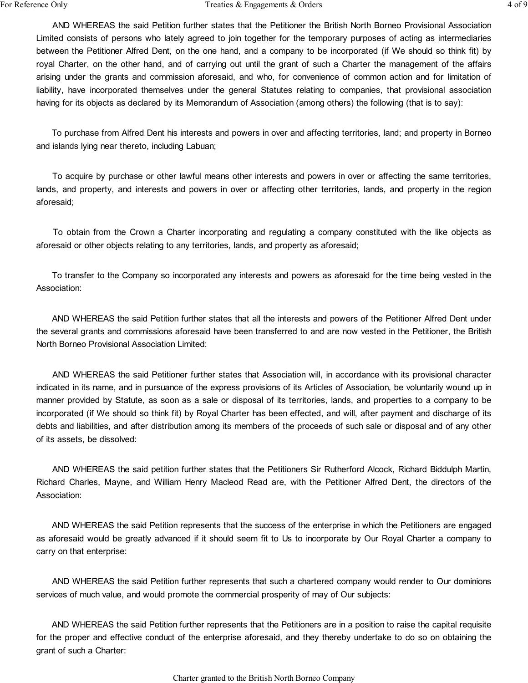AND WHEREAS the said Petition further states that the Petitioner the British North Borneo Provisional Association Limited consists of persons who lately agreed to join together for the temporary purposes of acting as intermediaries between the Petitioner Alfred Dent, on the one hand, and a company to be incorporated (if We should so think fit) by royal Charter, on the other hand, and of carrying out until the grant of such a Charter the management of the affairs arising under the grants and commission aforesaid, and who, for convenience of common action and for limitation of liability, have incorporated themselves under the general Statutes relating to companies, that provisional association having for its objects as declared by its Memorandum of Association (among others) the following (that is to say):

 To purchase from Alfred Dent his interests and powers in over and affecting territories, land; and property in Borneo and islands lying near thereto, including Labuan;

 To acquire by purchase or other lawful means other interests and powers in over or affecting the same territories, lands, and property, and interests and powers in over or affecting other territories, lands, and property in the region aforesaid;

 To obtain from the Crown a Charter incorporating and regulating a company constituted with the like objects as aforesaid or other objects relating to any territories, lands, and property as aforesaid;

 To transfer to the Company so incorporated any interests and powers as aforesaid for the time being vested in the Association:

 AND WHEREAS the said Petition further states that all the interests and powers of the Petitioner Alfred Dent under the several grants and commissions aforesaid have been transferred to and are now vested in the Petitioner, the British North Borneo Provisional Association Limited:

 AND WHEREAS the said Petitioner further states that Association will, in accordance with its provisional character indicated in its name, and in pursuance of the express provisions of its Articles of Association, be voluntarily wound up in manner provided by Statute, as soon as a sale or disposal of its territories, lands, and properties to a company to be incorporated (if We should so think fit) by Royal Charter has been effected, and will, after payment and discharge of its debts and liabilities, and after distribution among its members of the proceeds of such sale or disposal and of any other of its assets, be dissolved:

 AND WHEREAS the said petition further states that the Petitioners Sir Rutherford Alcock, Richard Biddulph Martin, Richard Charles, Mayne, and William Henry Macleod Read are, with the Petitioner Alfred Dent, the directors of the Association:

 AND WHEREAS the said Petition represents that the success of the enterprise in which the Petitioners are engaged as aforesaid would be greatly advanced if it should seem fit to Us to incorporate by Our Royal Charter a company to carry on that enterprise:

 AND WHEREAS the said Petition further represents that such a chartered company would render to Our dominions services of much value, and would promote the commercial prosperity of may of Our subjects:

 AND WHEREAS the said Petition further represents that the Petitioners are in a position to raise the capital requisite for the proper and effective conduct of the enterprise aforesaid, and they thereby undertake to do so on obtaining the grant of such a Charter:

Charter granted to the British North Borneo Company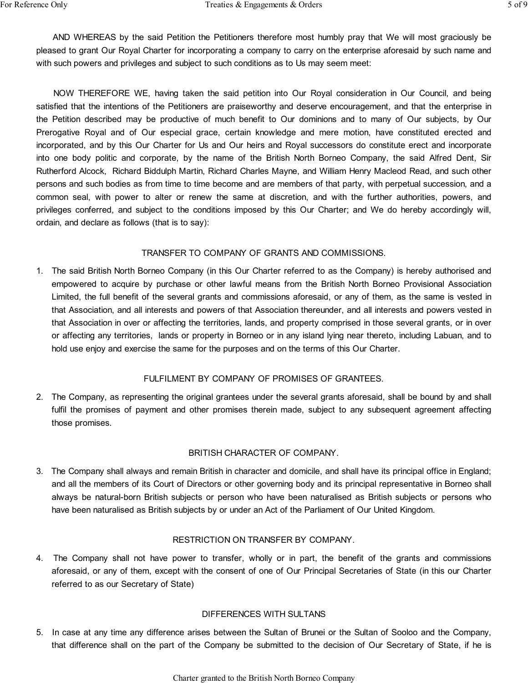AND WHEREAS by the said Petition the Petitioners therefore most humbly pray that We will most graciously be pleased to grant Our Royal Charter for incorporating a company to carry on the enterprise aforesaid by such name and with such powers and privileges and subject to such conditions as to Us may seem meet:

 NOW THEREFORE WE, having taken the said petition into Our Royal consideration in Our Council, and being satisfied that the intentions of the Petitioners are praiseworthy and deserve encouragement, and that the enterprise in the Petition described may be productive of much benefit to Our dominions and to many of Our subjects, by Our Prerogative Royal and of Our especial grace, certain knowledge and mere motion, have constituted erected and incorporated, and by this Our Charter for Us and Our heirs and Royal successors do constitute erect and incorporate into one body politic and corporate, by the name of the British North Borneo Company, the said Alfred Dent, Sir Rutherford Alcock, Richard Biddulph Martin, Richard Charles Mayne, and William Henry Macleod Read, and such other persons and such bodies as from time to time become and are members of that party, with perpetual succession, and a common seal, with power to alter or renew the same at discretion, and with the further authorities, powers, and privileges conferred, and subject to the conditions imposed by this Our Charter; and We do hereby accordingly will, ordain, and declare as follows (that is to say):

#### TRANSFER TO COMPANY OF GRANTS AND COMMISSIONS.

1. The said British North Borneo Company (in this Our Charter referred to as the Company) is hereby authorised and empowered to acquire by purchase or other lawful means from the British North Borneo Provisional Association Limited, the full benefit of the several grants and commissions aforesaid, or any of them, as the same is vested in that Association, and all interests and powers of that Association thereunder, and all interests and powers vested in that Association in over or affecting the territories, lands, and property comprised in those several grants, or in over or affecting any territories, lands or property in Borneo or in any island lying near thereto, including Labuan, and to hold use enjoy and exercise the same for the purposes and on the terms of this Our Charter.

#### FULFILMENT BY COMPANY OF PROMISES OF GRANTEES.

2. The Company, as representing the original grantees under the several grants aforesaid, shall be bound by and shall fulfil the promises of payment and other promises therein made, subject to any subsequent agreement affecting those promises.

#### BRITISH CHARACTER OF COMPANY.

3. The Company shall always and remain British in character and domicile, and shall have its principal office in England; and all the members of its Court of Directors or other governing body and its principal representative in Borneo shall always be natural-born British subjects or person who have been naturalised as British subjects or persons who have been naturalised as British subjects by or under an Act of the Parliament of Our United Kingdom.

#### RESTRICTION ON TRANSFER BY COMPANY.

4. The Company shall not have power to transfer, wholly or in part, the benefit of the grants and commissions aforesaid, or any of them, except with the consent of one of Our Principal Secretaries of State (in this our Charter referred to as our Secretary of State)

#### DIFFERENCES WITH SULTANS

5. In case at any time any difference arises between the Sultan of Brunei or the Sultan of Sooloo and the Company, that difference shall on the part of the Company be submitted to the decision of Our Secretary of State, if he is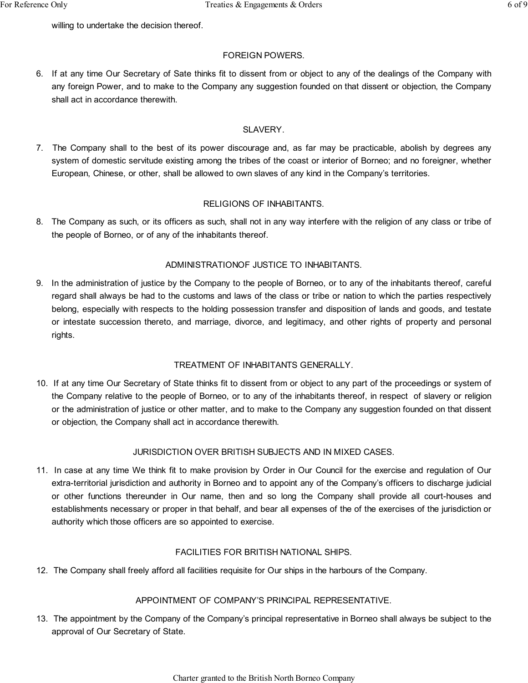willing to undertake the decision thereof.

# FOREIGN POWERS.

6. If at any time Our Secretary of Sate thinks fit to dissent from or object to any of the dealings of the Company with any foreign Power, and to make to the Company any suggestion founded on that dissent or objection, the Company shall act in accordance therewith.

## SLAVERY.

7. The Company shall to the best of its power discourage and, as far may be practicable, abolish by degrees any system of domestic servitude existing among the tribes of the coast or interior of Borneo; and no foreigner, whether European, Chinese, or other, shall be allowed to own slaves of any kind in the Company's territories.

# RELIGIONS OF INHABITANTS.

8. The Company as such, or its officers as such, shall not in any way interfere with the religion of any class or tribe of the people of Borneo, or of any of the inhabitants thereof.

## ADMINISTRATIONOF JUSTICE TO INHABITANTS.

9. In the administration of justice by the Company to the people of Borneo, or to any of the inhabitants thereof, careful regard shall always be had to the customs and laws of the class or tribe or nation to which the parties respectively belong, especially with respects to the holding possession transfer and disposition of lands and goods, and testate or intestate succession thereto, and marriage, divorce, and legitimacy, and other rights of property and personal rights.

# TREATMENT OF INHABITANTS GENERALLY.

10. If at any time Our Secretary of State thinks fit to dissent from or object to any part of the proceedings or system of the Company relative to the people of Borneo, or to any of the inhabitants thereof, in respect of slavery or religion or the administration of justice or other matter, and to make to the Company any suggestion founded on that dissent or objection, the Company shall act in accordance therewith.

### JURISDICTION OVER BRITISH SUBJECTS AND IN MIXED CASES.

11. In case at any time We think fit to make provision by Order in Our Council for the exercise and regulation of Our extra-territorial jurisdiction and authority in Borneo and to appoint any of the Company's officers to discharge judicial or other functions thereunder in Our name, then and so long the Company shall provide all court-houses and establishments necessary or proper in that behalf, and bear all expenses of the of the exercises of the jurisdiction or authority which those officers are so appointed to exercise.

### FACILITIES FOR BRITISH NATIONAL SHIPS.

12. The Company shall freely afford all facilities requisite for Our ships in the harbours of the Company.

# APPOINTMENT OF COMPANY'S PRINCIPAL REPRESENTATIVE.

13. The appointment by the Company of the Company's principal representative in Borneo shall always be subject to the approval of Our Secretary of State.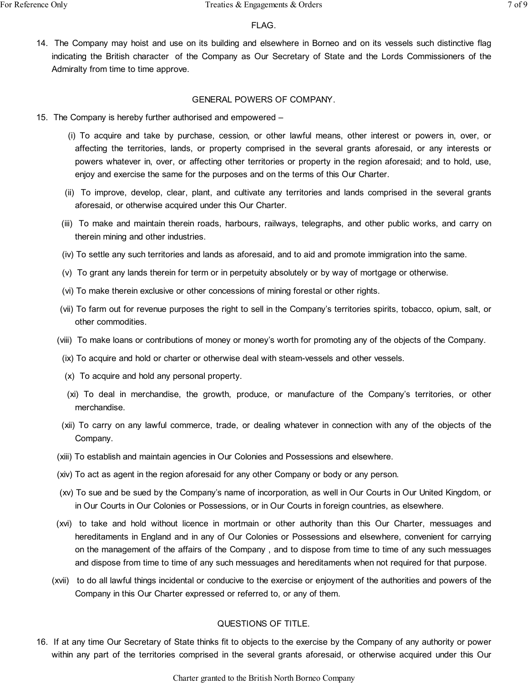#### FLAG.

14. The Company may hoist and use on its building and elsewhere in Borneo and on its vessels such distinctive flag indicating the British character of the Company as Our Secretary of State and the Lords Commissioners of the Admiralty from time to time approve.

#### GENERAL POWERS OF COMPANY.

- 15. The Company is hereby further authorised and empowered
	- (i) To acquire and take by purchase, cession, or other lawful means, other interest or powers in, over, or affecting the territories, lands, or property comprised in the several grants aforesaid, or any interests or powers whatever in, over, or affecting other territories or property in the region aforesaid; and to hold, use, enjoy and exercise the same for the purposes and on the terms of this Our Charter.
	- (ii) To improve, develop, clear, plant, and cultivate any territories and lands comprised in the several grants aforesaid, or otherwise acquired under this Our Charter.
	- (iii) To make and maintain therein roads, harbours, railways, telegraphs, and other public works, and carry on therein mining and other industries.
	- (iv) To settle any such territories and lands as aforesaid, and to aid and promote immigration into the same.
	- (v) To grant any lands therein for term or in perpetuity absolutely or by way of mortgage or otherwise.
	- (vi) To make therein exclusive or other concessions of mining forestal or other rights.
	- (vii) To farm out for revenue purposes the right to sell in the Company's territories spirits, tobacco, opium, salt, or other commodities.
	- (viii) To make loans or contributions of money or money's worth for promoting any of the objects of the Company.
	- (ix) To acquire and hold or charter or otherwise deal with steam-vessels and other vessels.
	- (x) To acquire and hold any personal property.
	- (xi) To deal in merchandise, the growth, produce, or manufacture of the Company's territories, or other merchandise.
	- (xii) To carry on any lawful commerce, trade, or dealing whatever in connection with any of the objects of the Company.
	- (xiii) To establish and maintain agencies in Our Colonies and Possessions and elsewhere.
	- (xiv) To act as agent in the region aforesaid for any other Company or body or any person.
	- (xv) To sue and be sued by the Company's name of incorporation, as well in Our Courts in Our United Kingdom, or in Our Courts in Our Colonies or Possessions, or in Our Courts in foreign countries, as elsewhere.
	- (xvi) to take and hold without licence in mortmain or other authority than this Our Charter, messuages and hereditaments in England and in any of Our Colonies or Possessions and elsewhere, convenient for carrying on the management of the affairs of the Company , and to dispose from time to time of any such messuages and dispose from time to time of any such messuages and hereditaments when not required for that purpose.
	- (xvii) to do all lawful things incidental or conducive to the exercise or enjoyment of the authorities and powers of the Company in this Our Charter expressed or referred to, or any of them.

### QUESTIONS OF TITLE.

16. If at any time Our Secretary of State thinks fit to objects to the exercise by the Company of any authority or power within any part of the territories comprised in the several grants aforesaid, or otherwise acquired under this Our

Charter granted to the British North Borneo Company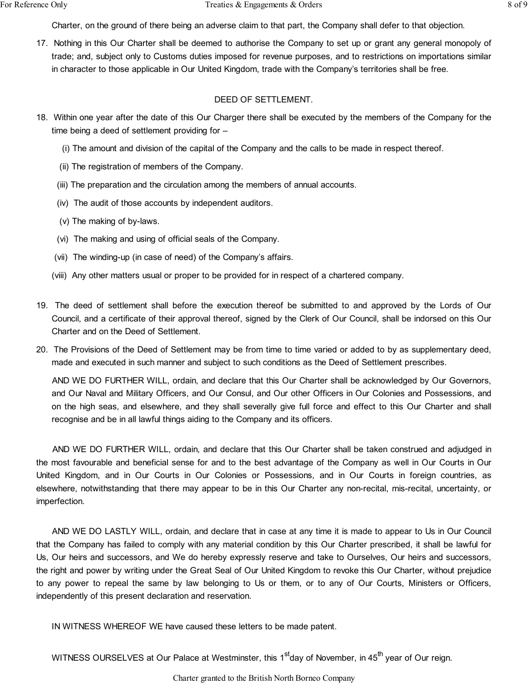Charter, on the ground of there being an adverse claim to that part, the Company shall defer to that objection.

17. Nothing in this Our Charter shall be deemed to authorise the Company to set up or grant any general monopoly of trade; and, subject only to Customs duties imposed for revenue purposes, and to restrictions on importations similar in character to those applicable in Our United Kingdom, trade with the Company's territories shall be free.

#### DEED OF SETTLEMENT.

- 18. Within one year after the date of this Our Charger there shall be executed by the members of the Company for the time being a deed of settlement providing for –
	- (i) The amount and division of the capital of the Company and the calls to be made in respect thereof.
	- (ii) The registration of members of the Company.
	- (iii) The preparation and the circulation among the members of annual accounts.
	- (iv) The audit of those accounts by independent auditors.
	- (v) The making of by-laws.
	- (vi) The making and using of official seals of the Company.
	- (vii) The winding-up (in case of need) of the Company's affairs.
	- (viii) Any other matters usual or proper to be provided for in respect of a chartered company.
- 19. The deed of settlement shall before the execution thereof be submitted to and approved by the Lords of Our Council, and a certificate of their approval thereof, signed by the Clerk of Our Council, shall be indorsed on this Our Charter and on the Deed of Settlement.
- 20. The Provisions of the Deed of Settlement may be from time to time varied or added to by as supplementary deed, made and executed in such manner and subject to such conditions as the Deed of Settlement prescribes.

 AND WE DO FURTHER WILL, ordain, and declare that this Our Charter shall be acknowledged by Our Governors, and Our Naval and Military Officers, and Our Consul, and Our other Officers in Our Colonies and Possessions, and on the high seas, and elsewhere, and they shall severally give full force and effect to this Our Charter and shall recognise and be in all lawful things aiding to the Company and its officers.

 AND WE DO FURTHER WILL, ordain, and declare that this Our Charter shall be taken construed and adjudged in the most favourable and beneficial sense for and to the best advantage of the Company as well in Our Courts in Our United Kingdom, and in Our Courts in Our Colonies or Possessions, and in Our Courts in foreign countries, as elsewhere, notwithstanding that there may appear to be in this Our Charter any non-recital, mis-recital, uncertainty, or imperfection.

 AND WE DO LASTLY WILL, ordain, and declare that in case at any time it is made to appear to Us in Our Council that the Company has failed to comply with any material condition by this Our Charter prescribed, it shall be lawful for Us, Our heirs and successors, and We do hereby expressly reserve and take to Ourselves, Our heirs and successors, the right and power by writing under the Great Seal of Our United Kingdom to revoke this Our Charter, without prejudice to any power to repeal the same by law belonging to Us or them, or to any of Our Courts, Ministers or Officers, independently of this present declaration and reservation.

IN WITNESS WHEREOF WE have caused these letters to be made patent.

WITNESS OURSELVES at Our Palace at Westminster, this 1<sup>st</sup>day of November, in 45<sup>th</sup> year of Our reign.